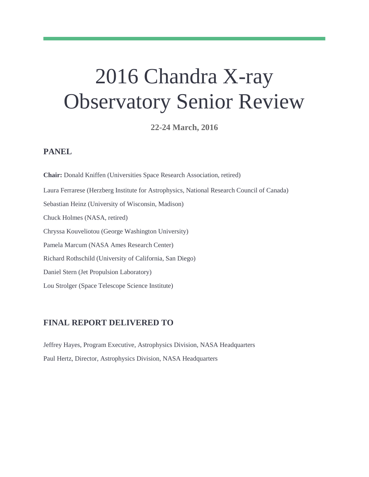# 2016 Chandra X-ray Observatory Senior Review

**22-24 March, 2016**

#### **PANEL**

**Chair:** Donald Kniffen (Universities Space Research Association, retired) Laura Ferrarese (Herzberg Institute for Astrophysics, National Research Council of Canada) Sebastian Heinz (University of Wisconsin, Madison) Chuck Holmes (NASA, retired) Chryssa Kouveliotou (George Washington University) Pamela Marcum (NASA Ames Research Center) Richard Rothschild (University of California, San Diego) Daniel Stern (Jet Propulsion Laboratory) Lou Strolger (Space Telescope Science Institute)

#### **FINAL REPORT DELIVERED TO**

Jeffrey Hayes, Program Executive, Astrophysics Division, NASA Headquarters Paul Hertz, Director, Astrophysics Division, NASA Headquarters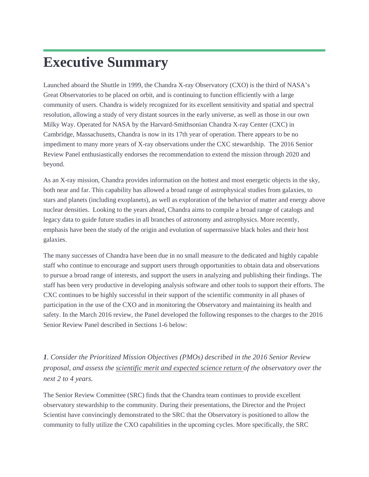## **Executive Summary**

Launched aboard the Shuttle in 1999, the Chandra X-ray Observatory (CXO) is the third of NASA's Great Observatories to be placed on orbit, and is continuing to function efficiently with a large community of users. Chandra is widely recognized for its excellent sensitivity and spatial and spectral resolution, allowing a study of very distant sources in the early universe, as well as those in our own Milky Way. Operated for NASA by the Harvard-Smithsonian Chandra X-ray Center (CXC) in Cambridge, Massachusetts, Chandra is now in its 17th year of operation. There appears to be no impediment to many more years of X-ray observations under the CXC stewardship. The 2016 Senior Review Panel enthusiastically endorses the recommendation to extend the mission through 2020 and beyond.

As an X-ray mission, Chandra provides information on the hottest and most energetic objects in the sky, both near and far. This capability has allowed a broad range of astrophysical studies from galaxies, to stars and planets (including exoplanets), as well as exploration of the behavior of matter and energy above nuclear densities. Looking to the years ahead, Chandra aims to compile a broad range of catalogs and legacy data to guide future studies in all branches of astronomy and astrophysics. More recently, emphasis have been the study of the origin and evolution of supermassive black holes and their host galaxies.

The many successes of Chandra have been due in no small measure to the dedicated and highly capable staff who continue to encourage and support users through opportunities to obtain data and observations to pursue a broad range of interests, and support the users in analyzing and publishing their findings. The staff has been very productive in developing analysis software and other tools to support their efforts. The CXC continues to be highly successful in their support of the scientific community in all phases of participation in the use of the CXO and in monitoring the Observatory and maintaining its health and safety. In the March 2016 review, the Panel developed the following responses to the charges to the 2016 Senior Review Panel described in Sections 1-6 below:

*1. Consider the Prioritized Mission Objectives (PMOs) described in the 2016 Senior Review proposal, and assess the scientific merit and expected science return of the observatory over the next 2 to 4 years.* 

The Senior Review Committee (SRC) finds that the Chandra team continues to provide excellent observatory stewardship to the community. During their presentations, the Director and the Project Scientist have convincingly demonstrated to the SRC that the Observatory is positioned to allow the community to fully utilize the CXO capabilities in the upcoming cycles. More specifically, the SRC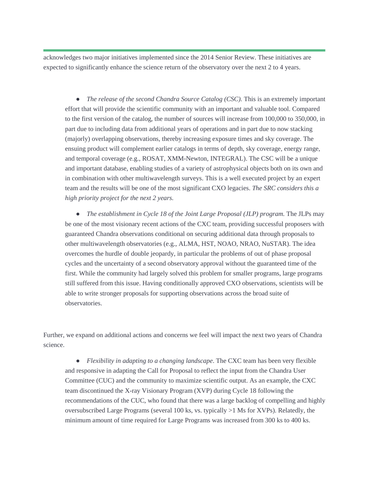acknowledges two major initiatives implemented since the 2014 Senior Review. These initiatives are expected to significantly enhance the science return of the observatory over the next 2 to 4 years.

• *The release of the second Chandra Source Catalog (CSC)*. This is an extremely important effort that will provide the scientific community with an important and valuable tool. Compared to the first version of the catalog, the number of sources will increase from 100,000 to 350,000, in part due to including data from additional years of operations and in part due to now stacking (majorly) overlapping observations, thereby increasing exposure times and sky coverage. The ensuing product will complement earlier catalogs in terms of depth, sky coverage, energy range, and temporal coverage (e.g., ROSAT, XMM-Newton, INTEGRAL). The CSC will be a unique and important database, enabling studies of a variety of astrophysical objects both on its own and in combination with other multiwavelength surveys. This is a well executed project by an expert team and the results will be one of the most significant CXO legacies. *The SRC considers this a high priority project for the next 2 years.* 

● *The establishment in Cycle 18 of the Joint Large Proposal (JLP) program.* The JLPs may be one of the most visionary recent actions of the CXC team, providing successful proposers with guaranteed Chandra observations conditional on securing additional data through proposals to other multiwavelength observatories (e.g., ALMA, HST, NOAO, NRAO, NuSTAR). The idea overcomes the hurdle of double jeopardy, in particular the problems of out of phase proposal cycles and the uncertainty of a second observatory approval without the guaranteed time of the first. While the community had largely solved this problem for smaller programs, large programs still suffered from this issue. Having conditionally approved CXO observations, scientists will be able to write stronger proposals for supporting observations across the broad suite of observatories.

Further, we expand on additional actions and concerns we feel will impact the next two years of Chandra science.

● *Flexibility in adapting to a changing landscape*. The CXC team has been very flexible and responsive in adapting the Call for Proposal to reflect the input from the Chandra User Committee (CUC) and the community to maximize scientific output. As an example, the CXC team discontinued the X-ray Visionary Program (XVP) during Cycle 18 following the recommendations of the CUC, who found that there was a large backlog of compelling and highly oversubscribed Large Programs (several 100 ks, vs. typically >1 Ms for XVPs). Relatedly, the minimum amount of time required for Large Programs was increased from 300 ks to 400 ks.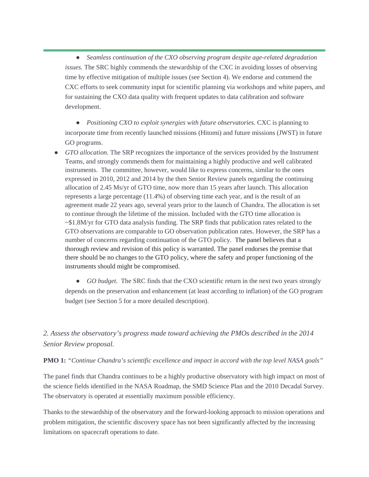● *Seamless continuation of the CXO observing program despite age-related degradation issues.* The SRC highly commends the stewardship of the CXC in avoiding losses of observing time by effective mitigation of multiple issues (see Section 4). We endorse and commend the CXC efforts to seek community input for scientific planning via workshops and white papers, and for sustaining the CXO data quality with frequent updates to data calibration and software development.

● *Positioning CXO to exploit synergies with future observatories.* CXC is planning to incorporate time from recently launched missions (Hitomi) and future missions (JWST) in future GO programs.

• *GTO allocation*. The SRP recognizes the importance of the services provided by the Instrument Teams, and strongly commends them for maintaining a highly productive and well calibrated instruments. The committee, however, would like to express concerns, similar to the ones expressed in 2010, 2012 and 2014 by the then Senior Review panels regarding the continuing allocation of 2.45 Ms/yr of GTO time, now more than 15 years after launch. This allocation represents a large percentage (11.4%) of observing time each year, and is the result of an agreement made 22 years ago, several years prior to the launch of Chandra. The allocation is set to continue through the lifetime of the mission. Included with the GTO time allocation is ~\$1.8M/yr for GTO data analysis funding. The SRP finds that publication rates related to the GTO observations are comparable to GO observation publication rates. However, the SRP has a number of concerns regarding continuation of the GTO policy. The panel believes that a thorough review and revision of this policy is warranted. The panel endorses the premise that there should be no changes to the GTO policy, where the safety and proper functioning of the instruments should might be compromised.

• *GO budget.* The SRC finds that the CXO scientific return in the next two years strongly depends on the preservation and enhancement (at least according to inflation) of the GO program budget (see Section 5 for a more detailed description).

#### *2. Assess the observatory's progress made toward achieving the PMOs described in the 2014 Senior Review proposal.*

#### **PMO 1:** *"Continue Chandra's scientific excellence and impact in accord with the top level NASA goals"*

The panel finds that Chandra continues to be a highly productive observatory with high impact on most of the science fields identified in the NASA Roadmap, the SMD Science Plan and the 2010 Decadal Survey. The observatory is operated at essentially maximum possible efficiency.

Thanks to the stewardship of the observatory and the forward-looking approach to mission operations and problem mitigation, the scientific discovery space has not been significantly affected by the increasing limitations on spacecraft operations to date.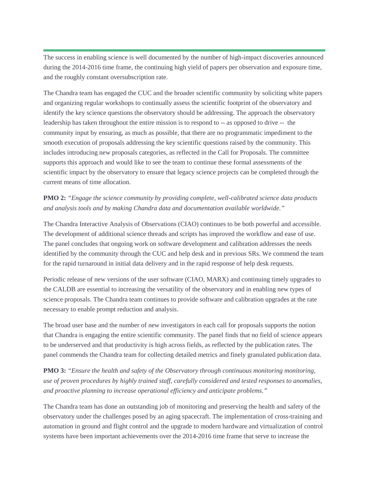The success in enabling science is well documented by the number of high-impact discoveries announced during the 2014-2016 time frame, the continuing high yield of papers per observation and exposure time, and the roughly constant oversubscription rate.

The Chandra team has engaged the CUC and the broader scientific community by soliciting white papers and organizing regular workshops to continually assess the scientific footprint of the observatory and identify the key science questions the observatory should be addressing. The approach the observatory leadership has taken throughout the entire mission is to respond to -- as opposed to drive -- the community input by ensuring, as much as possible, that there are no programmatic impediment to the smooth execution of proposals addressing the key scientific questions raised by the community. This includes introducing new proposals categories, as reflected in the Call for Proposals. The committee supports this approach and would like to see the team to continue these formal assessments of the scientific impact by the observatory to ensure that legacy science projects can be completed through the current means of time allocation.

**PMO 2:** *"Engage the science community by providing complete, well-calibrated science data products and analysis tools and by making Chandra data and documentation available worldwide."*

The Chandra Interactive Analysis of Observations (CIAO) continues to be both powerful and accessible. The development of additional science threads and scripts has improved the workflow and ease of use. The panel concludes that ongoing work on software development and calibration addresses the needs identified by the community through the CUC and help desk and in previous SRs. We commend the team for the rapid turnaround in initial data delivery and in the rapid response of help desk requests.

Periodic release of new versions of the user software (CIAO, MARX) and continuing timely upgrades to the CALDB are essential to increasing the versatility of the observatory and in enabling new types of science proposals. The Chandra team continues to provide software and calibration upgrades at the rate necessary to enable prompt reduction and analysis.

The broad user base and the number of new investigators in each call for proposals supports the notion that Chandra is engaging the entire scientific community. The panel finds that no field of science appears to be underserved and that productivity is high across fields, as reflected by the publication rates. The panel commends the Chandra team for collecting detailed metrics and finely granulated publication data.

**PMO 3:** *"Ensure the health and safety of the Observatory through continuous monitoring monitoring, use of proven procedures by highly trained staff, carefully considered and tested responses to anomalies, and proactive planning to increase operational efficiency and anticipate problems."*

The Chandra team has done an outstanding job of monitoring and preserving the health and safety of the observatory under the challenges posed by an aging spacecraft. The implementation of cross-training and automation in ground and flight control and the upgrade to modern hardware and virtualization of control systems have been important achievements over the 2014-2016 time frame that serve to increase the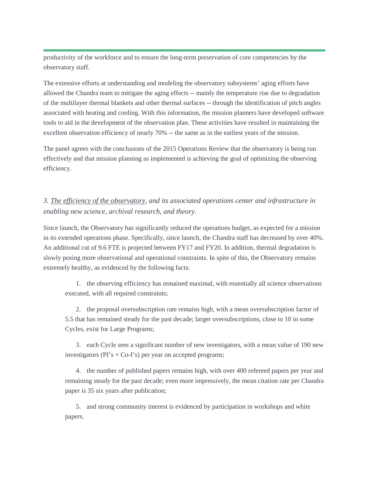productivity of the workforce and to ensure the long-term preservation of core competencies by the observatory staff.

The extensive efforts at understanding and modeling the observatory subsystems' aging efforts have allowed the Chandra team to mitigate the aging effects -- mainly the temperature rise due to degradation of the multilayer thermal blankets and other thermal surfaces -- through the identification of pitch angles associated with heating and cooling. With this information, the mission planners have developed software tools to aid in the development of the observation plan. These activities have resulted in maintaining the excellent observation efficiency of nearly 70% -- the same as in the earliest years of the mission.

The panel agrees with the conclusions of the 2015 Operations Review that the observatory is being run effectively and that mission planning as implemented is achieving the goal of optimizing the observing efficiency.

#### *3. The efficiency of the observatory, and its associated operations center and infrastructure in enabling new science, archival research, and theory.*

Since launch, the Observatory has significantly reduced the operations budget, as expected for a mission in its extended operations phase. Specifically, since launch, the Chandra staff has decreased by over 40%. An additional cut of 9.6 FTE is projected between FY17 and FY20. In addition, thermal degradation is slowly posing more observational and operational constraints. In spite of this, the Observatory remains extremely healthy, as evidenced by the following facts:

1. the observing efficiency has remained maximal, with essentially all science observations executed, with all required constraints;

2. the proposal oversubscription rate remains high, with a mean oversubscription factor of 5.5 that has remained steady for the past decade; larger oversubscriptions, close to 10 in some Cycles, exist for Large Programs;

3. each Cycle sees a significant number of new investigators, with a mean value of 190 new investigators  $(PI's + Co-I's)$  per year on accepted programs;

4. the number of published papers remains high, with over 400 refereed papers per year and remaining steady for the past decade; even more impressively, the mean citation rate per Chandra paper is 35 six years after publication;

5. and strong community interest is evidenced by participation in workshops and white papers.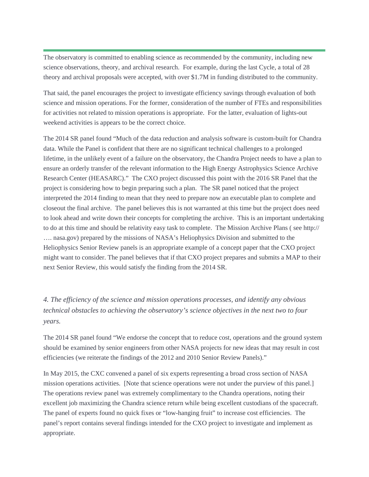The observatory is committed to enabling science as recommended by the community, including new science observations, theory, and archival research. For example, during the last Cycle, a total of 28 theory and archival proposals were accepted, with over \$1.7M in funding distributed to the community.

That said, the panel encourages the project to investigate efficiency savings through evaluation of both science and mission operations. For the former, consideration of the number of FTEs and responsibilities for activities not related to mission operations is appropriate. For the latter, evaluation of lights-out weekend activities is appears to be the correct choice.

The 2014 SR panel found "Much of the data reduction and analysis software is custom-built for Chandra data. While the Panel is confident that there are no significant technical challenges to a prolonged lifetime, in the unlikely event of a failure on the observatory, the Chandra Project needs to have a plan to ensure an orderly transfer of the relevant information to the High Energy Astrophysics Science Archive Research Center (HEASARC)." The CXO project discussed this point with the 2016 SR Panel that the project is considering how to begin preparing such a plan. The SR panel noticed that the project interpreted the 2014 finding to mean that they need to prepare now an executable plan to complete and closeout the final archive. The panel believes this is not warranted at this time but the project does need to look ahead and write down their concepts for completing the archive. This is an important undertaking to do at this time and should be relativity easy task to complete. The Mission Archive Plans ( see http:// …. nasa.gov) prepared by the missions of NASA's Heliophysics Division and submitted to the Heliophysics Senior Review panels is an appropriate example of a concept paper that the CXO project might want to consider. The panel believes that if that CXO project prepares and submits a MAP to their next Senior Review, this would satisfy the finding from the 2014 SR.

### *4. The efficiency of the science and mission operations processes, and identify any obvious technical obstacles to achieving the observatory's science objectives in the next two to four years.*

The 2014 SR panel found "We endorse the concept that to reduce cost, operations and the ground system should be examined by senior engineers from other NASA projects for new ideas that may result in cost efficiencies (we reiterate the findings of the 2012 and 2010 Senior Review Panels)."

In May 2015, the CXC convened a panel of six experts representing a broad cross section of NASA mission operations activities. [Note that science operations were not under the purview of this panel.] The operations review panel was extremely complimentary to the Chandra operations, noting their excellent job maximizing the Chandra science return while being excellent custodians of the spacecraft. The panel of experts found no quick fixes or "low-hanging fruit" to increase cost efficiencies. The panel's report contains several findings intended for the CXO project to investigate and implement as appropriate.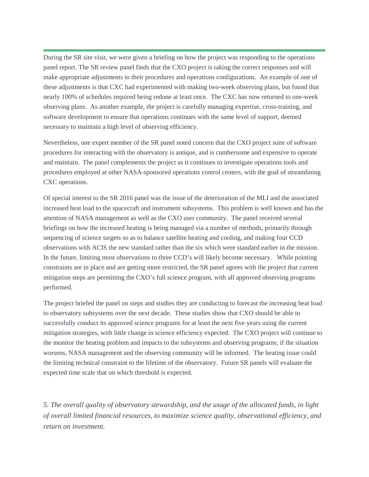During the SR site visit, we were given a briefing on how the project was responding to the operations panel report. The SR review panel finds that the CXO project is taking the correct responses and will make appropriate adjustments to their procedures and operations configurations. An example of one of these adjustments is that CXC had experimented with making two-week observing plans, but found that nearly 100% of schedules required being redone at least once. The CXC has now returned to one-week observing plans. As another example, the project is carefully managing expertise, cross-training, and software development to ensure that operations continues with the same level of support, deemed necessary to maintain a high level of observing efficiency.

Nevertheless, one expert member of the SR panel noted concern that the CXO project suite of software procedures for interacting with the observatory is antique, and is cumbersome and expensive to operate and maintain. The panel complements the project as it continues to investigate operations tools and procedures employed at other NASA-sponsored operations control centers, with the goal of streamlining CXC operations.

Of special interest to the SR 2016 panel was the issue of the deterioration of the MLI and the associated increased heat load to the spacecraft and instrument subsystems. This problem is well known and has the attention of NASA management as well as the CXO user community. The panel received several briefings on how the increased heating is being managed via a number of methods, primarily through sequencing of science targets so as to balance satellite heating and cooling, and making four CCD observations with ACIS the new standard rather than the six which were standard earlier in the mission. In the future, limiting most observations to three CCD's will likely become necessary. While pointing constraints are in place and are getting more restricted, the SR panel agrees with the project that current mitigation steps are permitting the CXO's full science program, with all approved observing programs performed.

The project briefed the panel on steps and studies they are conducting to forecast the increasing heat load to observatory subsystems over the next decade. These studies show that CXO should be able to successfully conduct its approved science programs for at least the next five years using the current mitigation strategies, with little change in science efficiency expected. The CXO project will continue to the monitor the heating problem and impacts to the subsystems and observing programs; if the situation worsens, NASA management and the observing community will be informed. The heating issue could the limiting technical constraint to the lifetime of the observatory. Future SR panels will evaluate the expected time scale that on which threshold is expected.

*5. The overall quality of observatory stewardship, and the usage of the allocated funds, in light of overall limited financial resources, to maximize science quality, observational efficiency, and return on investment.*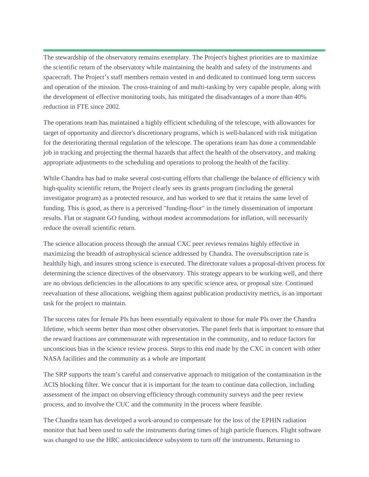The stewardship of the observatory remains exemplary. The Project's highest priorities are to maximize the scientific return of the observatory while maintaining the health and safety of the instruments and spacecraft. The Project's staff members remain vested in and dedicated to continued long term success and operation of the mission. The cross-training of and multi-tasking by very capable people, along with the development of effective monitoring tools, has mitigated the disadvantages of a more than 40% reduction in FTE since 2002.

The operations team has maintained a highly efficient scheduling of the telescope, with allowances for target of opportunity and director's discretionary programs, which is well-balanced with risk mitigation for the deteriorating thermal regulation of the telescope. The operations team has done a commendable job in tracking and projecting the thermal hazards that affect the health of the observatory, and making appropriate adjustments to the scheduling and operations to prolong the health of the facility.

While Chandra has had to make several cost-cutting efforts that challenge the balance of efficiency with high-quality scientific return, the Project clearly sees its grants program (including the general investigator program) as a protected resource, and has worked to see that it retains the same level of funding. This is good, as there is a perceived "funding-floor" in the timely dissemination of important results. Flat or stagnant GO funding, without modest accommodations for inflation, will necessarily reduce the overall scientific return.

The science allocation process through the annual CXC peer reviews remains highly effective in maximizing the breadth of astrophysical science addressed by Chandra. The oversubscription rate is healthily high, and insures strong science is executed. The directorate values a proposal-driven process for determining the science directives of the observatory. This strategy appears to be working well, and there are no obvious deficiencies in the allocations to any specific science area, or proposal size. Continued reevaluation of these allocations, weighing them against publication productivity metrics, is an important task for the project to maintain.

The success rates for female PIs has been essentially equivalent to those for male PIs over the Chandra lifetime, which seems better than most other observatories. The panel feels that is important to ensure that the reward fractions are commensurate with representation in the community, and to reduce factors for unconscious bias in the science review process. Steps to this end made by the CXC in concert with other NASA facilities and the community as a whole are important

The SRP supports the team's careful and conservative approach to mitigation of the contamination in the ACIS blocking filter. We concur that it is important for the team to continue data collection, including assessment of the impact on observing efficiency through community surveys and the peer review process, and to involve the CUC and the community in the process where feasible.

The Chandra team has developed a work-around to compensate for the loss of the EPHIN radiation monitor that had been used to safe the instruments during times of high particle fluences. Flight software was changed to use the HRC anticoincidence subsystem to turn off the instruments. Returning to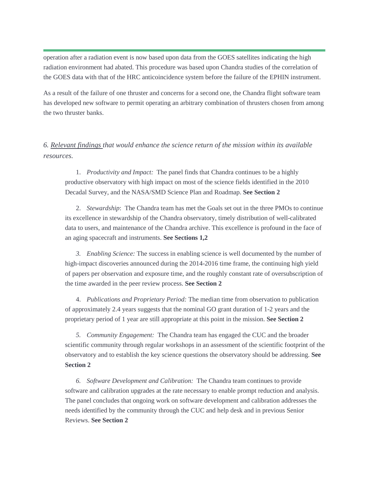operation after a radiation event is now based upon data from the GOES satellites indicating the high radiation environment had abated. This procedure was based upon Chandra studies of the correlation of the GOES data with that of the HRC anticoincidence system before the failure of the EPHIN instrument.

As a result of the failure of one thruster and concerns for a second one, the Chandra flight software team has developed new software to permit operating an arbitrary combination of thrusters chosen from among the two thruster banks.

#### *6. Relevant findings that would enhance the science return of the mission within its available resources.*

1. *Productivity and Impact:* The panel finds that Chandra continues to be a highly productive observatory with high impact on most of the science fields identified in the 2010 Decadal Survey, and the NASA/SMD Science Plan and Roadmap. **See Section 2**

2. *Stewardship*: The Chandra team has met the Goals set out in the three PMOs to continue its excellence in stewardship of the Chandra observatory, timely distribution of well-calibrated data to users, and maintenance of the Chandra archive. This excellence is profound in the face of an aging spacecraft and instruments. **See Sections 1,2**

*3. Enabling Science:* The success in enabling science is well documented by the number of high-impact discoveries announced during the 2014-2016 time frame, the continuing high yield of papers per observation and exposure time, and the roughly constant rate of oversubscription of the time awarded in the peer review process. **See Section 2**

4. *Publications and Proprietary Period:* The median time from observation to publication of approximately 2.4 years suggests that the nominal GO grant duration of 1-2 years and the proprietary period of 1 year are still appropriate at this point in the mission. **See Section 2**

*5. Community Engagement:* The Chandra team has engaged the CUC and the broader scientific community through regular workshops in an assessment of the scientific footprint of the observatory and to establish the key science questions the observatory should be addressing. **See Section 2**

*6. Software Development and Calibration:* The Chandra team continues to provide software and calibration upgrades at the rate necessary to enable prompt reduction and analysis. The panel concludes that ongoing work on software development and calibration addresses the needs identified by the community through the CUC and help desk and in previous Senior Reviews. **See Section 2**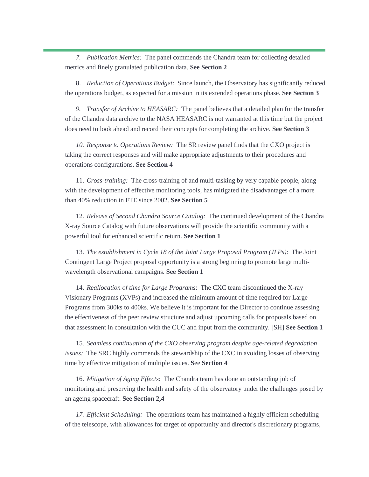*7. Publication Metrics:* The panel commends the Chandra team for collecting detailed metrics and finely granulated publication data. **See Section 2**

8. *Reduction of Operations Budget*: Since launch, the Observatory has significantly reduced the operations budget, as expected for a mission in its extended operations phase. **See Section 3**

*9. Transfer of Archive to HEASARC:* The panel believes that a detailed plan for the transfer of the Chandra data archive to the NASA HEASARC is not warranted at this time but the project does need to look ahead and record their concepts for completing the archive. **See Section 3**

*10. Response to Operations Review:* The SR review panel finds that the CXO project is taking the correct responses and will make appropriate adjustments to their procedures and operations configurations. **See Section 4**

11. *Cross-training:* The cross-training of and multi-tasking by very capable people, along with the development of effective monitoring tools, has mitigated the disadvantages of a more than 40% reduction in FTE since 2002. **See Section 5**

12. *Release of Second Chandra Source Catalog:* The continued development of the Chandra X-ray Source Catalog with future observations will provide the scientific community with a powerful tool for enhanced scientific return. **See Section 1**

13. *The establishment in Cycle 18 of the Joint Large Proposal Program (JLPs)*: The Joint Contingent Large Project proposal opportunity is a strong beginning to promote large multiwavelength observational campaigns. **See Section 1**

14. *Reallocation of time for Large Programs*: The CXC team discontinued the X-ray Visionary Programs (XVPs) and increased the minimum amount of time required for Large Programs from 300ks to 400ks. We believe it is important for the Director to continue assessing the effectiveness of the peer review structure and adjust upcoming calls for proposals based on that assessment in consultation with the CUC and input from the community. [SH] **See Section 1**

15. *Seamless continuation of the CXO observing program despite age-related degradation issues:* The SRC highly commends the stewardship of the CXC in avoiding losses of observing time by effective mitigation of multiple issues. **S**ee **Section 4**

16. *Mitigation of Aging Effects*: The Chandra team has done an outstanding job of monitoring and preserving the health and safety of the observatory under the challenges posed by an ageing spacecraft. **See Section 2,4**

*17. Efficient Scheduling:* The operations team has maintained a highly efficient scheduling of the telescope, with allowances for target of opportunity and director's discretionary programs,